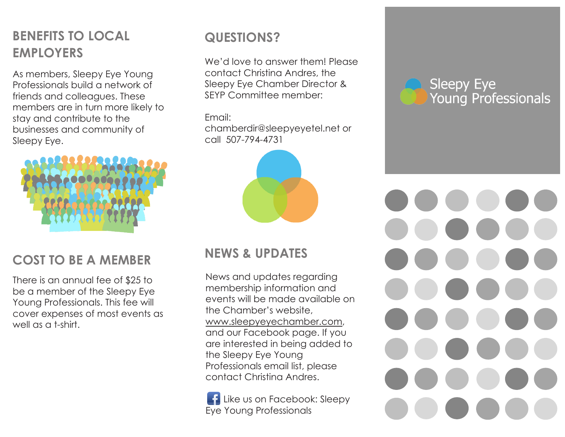# **BENEFITS TO LOCAL EMPLOYERS**

As members, Sleepy Eye Young Professionals build a network of friends and colleagues. These members are in turn more likely to stay and contribute to the businesses and community of Sleepy Eye.



# **COST TO BE A MEMBER**

There is an annual fee of \$25 to be a member of the Sleepy Eye Young Professionals. This fee will cover expenses of most events as well as a t-shirt.

# **QUESTIONS?**

We'd love to answer them! Please contact Christina Andres, the Sleepy Eye Chamber Director & SEYP Committee member:

Email: chamberdir@sleepyeyetel.net or call 507-794-4731



# **NEWS & UPDATES**

News and updates regarding membership information and events will be made available on the Chamber's website, www.sleepyeyechamber.com, and our Facebook page. If you are interested in being added to the Sleepy Eye Young Professionals email list, please contact Christina Andres.

**Like us on Facebook: Sleepy** Eye Young Professionals